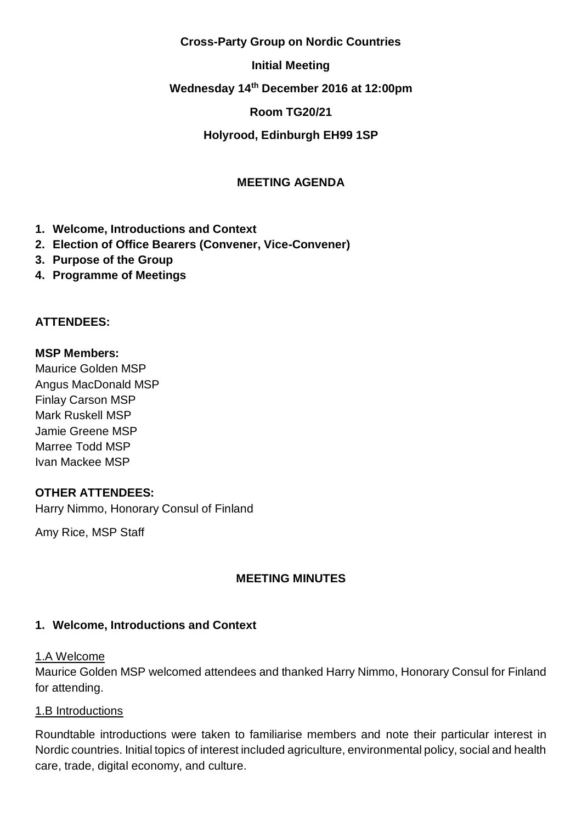#### **Cross-Party Group on Nordic Countries**

### **Initial Meeting**

### **Wednesday 14th December 2016 at 12:00pm**

### **Room TG20/21**

### **Holyrood, Edinburgh EH99 1SP**

## **MEETING AGENDA**

- **1. Welcome, Introductions and Context**
- **2. Election of Office Bearers (Convener, Vice-Convener)**
- **3. Purpose of the Group**
- **4. Programme of Meetings**

### **ATTENDEES:**

#### **MSP Members:**

Maurice Golden MSP Angus MacDonald MSP Finlay Carson MSP Mark Ruskell MSP Jamie Greene MSP Marree Todd MSP Ivan Mackee MSP

### **OTHER ATTENDEES:**

Harry Nimmo, Honorary Consul of Finland

Amy Rice, MSP Staff

### **MEETING MINUTES**

### **1. Welcome, Introductions and Context**

#### 1.A Welcome

Maurice Golden MSP welcomed attendees and thanked Harry Nimmo, Honorary Consul for Finland for attending.

#### 1.B Introductions

Roundtable introductions were taken to familiarise members and note their particular interest in Nordic countries. Initial topics of interest included agriculture, environmental policy, social and health care, trade, digital economy, and culture.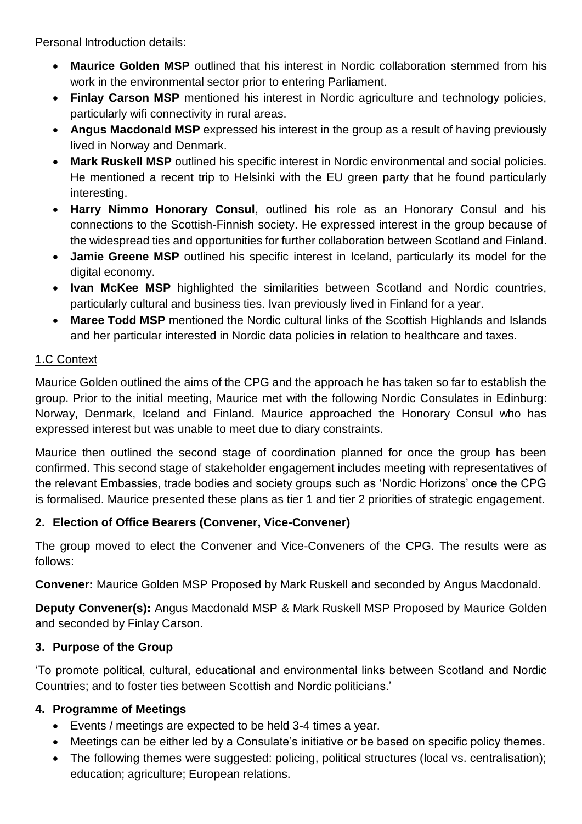Personal Introduction details:

- **Maurice Golden MSP** outlined that his interest in Nordic collaboration stemmed from his work in the environmental sector prior to entering Parliament.
- **Finlay Carson MSP** mentioned his interest in Nordic agriculture and technology policies, particularly wifi connectivity in rural areas.
- **Angus Macdonald MSP** expressed his interest in the group as a result of having previously lived in Norway and Denmark.
- **Mark Ruskell MSP** outlined his specific interest in Nordic environmental and social policies. He mentioned a recent trip to Helsinki with the EU green party that he found particularly interesting.
- **Harry Nimmo Honorary Consul**, outlined his role as an Honorary Consul and his connections to the Scottish-Finnish society. He expressed interest in the group because of the widespread ties and opportunities for further collaboration between Scotland and Finland.
- **Jamie Greene MSP** outlined his specific interest in Iceland, particularly its model for the digital economy.
- **Ivan McKee MSP** highlighted the similarities between Scotland and Nordic countries, particularly cultural and business ties. Ivan previously lived in Finland for a year.
- **Maree Todd MSP** mentioned the Nordic cultural links of the Scottish Highlands and Islands and her particular interested in Nordic data policies in relation to healthcare and taxes.

# 1.C Context

Maurice Golden outlined the aims of the CPG and the approach he has taken so far to establish the group. Prior to the initial meeting, Maurice met with the following Nordic Consulates in Edinburg: Norway, Denmark, Iceland and Finland. Maurice approached the Honorary Consul who has expressed interest but was unable to meet due to diary constraints.

Maurice then outlined the second stage of coordination planned for once the group has been confirmed. This second stage of stakeholder engagement includes meeting with representatives of the relevant Embassies, trade bodies and society groups such as 'Nordic Horizons' once the CPG is formalised. Maurice presented these plans as tier 1 and tier 2 priorities of strategic engagement.

## **2. Election of Office Bearers (Convener, Vice-Convener)**

The group moved to elect the Convener and Vice-Conveners of the CPG. The results were as follows:

**Convener:** Maurice Golden MSP Proposed by Mark Ruskell and seconded by Angus Macdonald.

**Deputy Convener(s):** Angus Macdonald MSP & Mark Ruskell MSP Proposed by Maurice Golden and seconded by Finlay Carson.

# **3. Purpose of the Group**

'To promote political, cultural, educational and environmental links between Scotland and Nordic Countries; and to foster ties between Scottish and Nordic politicians.'

# **4. Programme of Meetings**

- Events / meetings are expected to be held 3-4 times a year.
- Meetings can be either led by a Consulate's initiative or be based on specific policy themes.
- The following themes were suggested: policing, political structures (local vs. centralisation); education; agriculture; European relations.